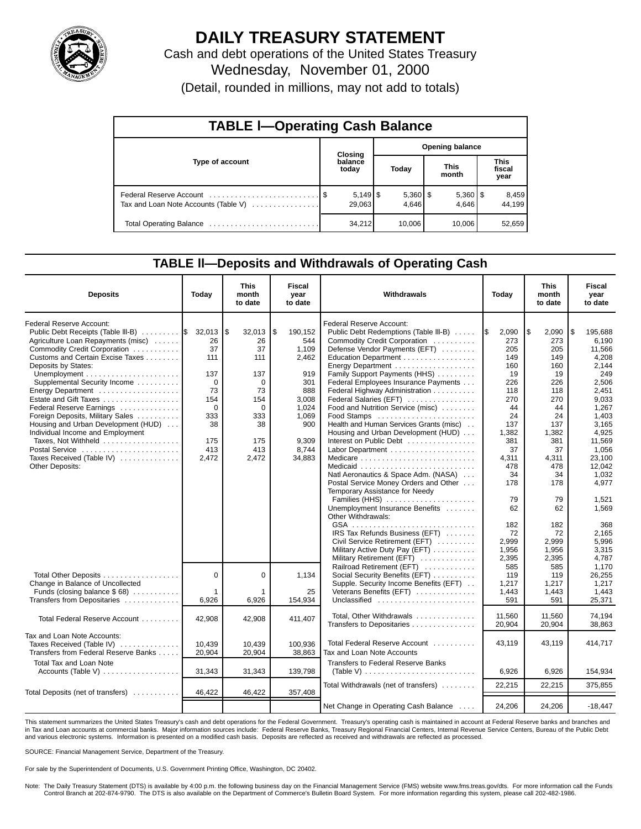

# **DAILY TREASURY STATEMENT**

Cash and debt operations of the United States Treasury Wednesday, November 01, 2000 (Detail, rounded in millions, may not add to totals)

| <b>TABLE I-Operating Cash Balance</b> |         |                  |                        |                     |  |                       |  |                        |  |  |  |
|---------------------------------------|---------|------------------|------------------------|---------------------|--|-----------------------|--|------------------------|--|--|--|
|                                       | Closing |                  | <b>Opening balance</b> |                     |  |                       |  |                        |  |  |  |
| Type of account                       |         | balance<br>today |                        | Today               |  | <b>This</b><br>month  |  | This<br>fiscal<br>year |  |  |  |
| Tax and Loan Note Accounts (Table V)  |         | 29,063           |                        | $5,360$ \$<br>4.646 |  | $5,360$   \$<br>4.646 |  | 8,459<br>44.199        |  |  |  |
|                                       |         | 34,212           |                        | 10,006              |  | 10.006                |  | 52,659                 |  |  |  |

### **TABLE ll—Deposits and Withdrawals of Operating Cash**

| <b>Deposits</b>                                                                                                                                                                                                                                                                                                                                                                                                                                                                                         | Today                                                                                                  | <b>This</b><br>month<br>to date                                                                  | <b>Fiscal</b><br>year<br>to date                                                                                  | Withdrawals                                                                                                                                                                                                                                                                                                                                                                                                                                                                           | Today                                                                                                        | <b>This</b><br>month<br>to date                                                                              |                                                                                                                                               |
|---------------------------------------------------------------------------------------------------------------------------------------------------------------------------------------------------------------------------------------------------------------------------------------------------------------------------------------------------------------------------------------------------------------------------------------------------------------------------------------------------------|--------------------------------------------------------------------------------------------------------|--------------------------------------------------------------------------------------------------|-------------------------------------------------------------------------------------------------------------------|---------------------------------------------------------------------------------------------------------------------------------------------------------------------------------------------------------------------------------------------------------------------------------------------------------------------------------------------------------------------------------------------------------------------------------------------------------------------------------------|--------------------------------------------------------------------------------------------------------------|--------------------------------------------------------------------------------------------------------------|-----------------------------------------------------------------------------------------------------------------------------------------------|
| Federal Reserve Account:<br>Public Debt Receipts (Table III-B)<br>Agriculture Loan Repayments (misc)<br>Commodity Credit Corporation<br>Customs and Certain Excise Taxes<br>Deposits by States:<br>Unemployment $\dots\dots\dots\dots\dots\dots\dots\dots$<br>Supplemental Security Income<br>Estate and Gift Taxes<br>Federal Reserve Earnings<br>Foreign Deposits, Military Sales<br>Housing and Urban Development (HUD)<br>Individual Income and Employment<br>Taxes, Not Withheld<br>Postal Service | $32,013$ \\$<br>26<br>37<br>111<br>137<br>$\Omega$<br>73<br>154<br>$\Omega$<br>333<br>38<br>175<br>413 | 32,013<br>26<br>37<br>111<br>137<br>$\Omega$<br>73<br>154<br>$\Omega$<br>333<br>38<br>175<br>413 | l \$<br>190,152<br>544<br>1,109<br>2,462<br>919<br>301<br>888<br>3.008<br>1,024<br>1,069<br>900<br>9.309<br>8,744 | Federal Reserve Account:<br>Public Debt Redemptions (Table III-B)<br>Commodity Credit Corporation<br>Defense Vendor Payments (EFT)<br>Education Department<br>Energy Department<br>Family Support Payments (HHS)<br>Federal Employees Insurance Payments<br>Federal Highway Administration<br>Federal Salaries (EFT)<br>Food and Nutrition Service (misc)<br>Food Stamps<br>Health and Human Services Grants (misc)<br>Housing and Urban Development (HUD)<br>Interest on Public Debt | I\$<br>2,090<br>273<br>205<br>149<br>160<br>19<br>226<br>118<br>270<br>44<br>24<br>137<br>1,382<br>381<br>37 | 2,090<br>l\$<br>273<br>205<br>149<br>160<br>19<br>226<br>118<br>270<br>44<br>24<br>137<br>1,382<br>381<br>37 | 195,688<br>l \$<br>6,190<br>11,566<br>4,208<br>2,144<br>249<br>2,506<br>2.451<br>9,033<br>1,267<br>1,403<br>3.165<br>4,925<br>11,569<br>1,056 |
| Taxes Received (Table IV)<br>Other Deposits:                                                                                                                                                                                                                                                                                                                                                                                                                                                            | 2,472                                                                                                  | 2,472                                                                                            | 34,883                                                                                                            | Natl Aeronautics & Space Adm. (NASA)<br>Postal Service Money Orders and Other<br>Temporary Assistance for Needy<br>Families (HHS)<br>Unemployment Insurance Benefits<br>Other Withdrawals:                                                                                                                                                                                                                                                                                            | 4,311<br>478<br>34<br>178<br>79<br>62<br>182                                                                 | 4.311<br>478<br>34<br>178<br>79<br>62<br>182                                                                 | 23.100<br>12,042<br>1,032<br>4,977<br>1,521<br>1.569<br>368                                                                                   |
| Total Other Deposits                                                                                                                                                                                                                                                                                                                                                                                                                                                                                    | $\Omega$                                                                                               | $\mathbf 0$                                                                                      | 1,134                                                                                                             | IRS Tax Refunds Business (EFT)<br>Civil Service Retirement (EFT)<br>Military Active Duty Pay (EFT)<br>Military Retirement (EFT)<br>Railroad Retirement (EFT)<br>Social Security Benefits (EFT)                                                                                                                                                                                                                                                                                        | 72<br>2,999<br>1,956<br>2,395<br>585<br>119                                                                  | 72<br>2,999<br>1.956<br>2,395<br>585<br>119                                                                  | 2,165<br>5,996<br>3.315<br>4,787<br>1.170<br>26,255                                                                                           |
| Change in Balance of Uncollected<br>Funds (closing balance \$68)<br>Transfers from Depositaries                                                                                                                                                                                                                                                                                                                                                                                                         | 1<br>6,926                                                                                             | 6,926                                                                                            | 25<br>154,934                                                                                                     | Supple. Security Income Benefits (EFT)<br>Veterans Benefits (EFT)<br>Unclassified                                                                                                                                                                                                                                                                                                                                                                                                     | 1,217<br>1,443<br>591                                                                                        | 1.217<br>1,443<br>591                                                                                        | 1,217<br>1,443<br>25,371                                                                                                                      |
| Total Federal Reserve Account                                                                                                                                                                                                                                                                                                                                                                                                                                                                           | 42,908                                                                                                 | 42,908                                                                                           | 411,407                                                                                                           | Total, Other Withdrawals<br>Transfers to Depositaries                                                                                                                                                                                                                                                                                                                                                                                                                                 | 11.560<br>20,904                                                                                             | 11.560<br>20,904                                                                                             | 74.194<br>38,863                                                                                                                              |
| Tax and Loan Note Accounts:<br>Taxes Received (Table IV)<br>Transfers from Federal Reserve Banks                                                                                                                                                                                                                                                                                                                                                                                                        | 10,439<br>20,904                                                                                       | 10,439<br>20,904                                                                                 | 100,936<br>38,863                                                                                                 | Total Federal Reserve Account<br>Tax and Loan Note Accounts                                                                                                                                                                                                                                                                                                                                                                                                                           | 43,119                                                                                                       | 43,119                                                                                                       | 414,717                                                                                                                                       |
| <b>Total Tax and Loan Note</b><br>Accounts (Table V)                                                                                                                                                                                                                                                                                                                                                                                                                                                    | 31,343                                                                                                 | 31,343                                                                                           | 139,798                                                                                                           | <b>Transfers to Federal Reserve Banks</b><br>(Table V) $\ldots \ldots \ldots \ldots \ldots \ldots \ldots \ldots$                                                                                                                                                                                                                                                                                                                                                                      | 6.926                                                                                                        | 6,926                                                                                                        | 154,934                                                                                                                                       |
| Total Deposits (net of transfers)                                                                                                                                                                                                                                                                                                                                                                                                                                                                       | 46,422                                                                                                 | 46,422                                                                                           | 357,408                                                                                                           | Total Withdrawals (net of transfers)                                                                                                                                                                                                                                                                                                                                                                                                                                                  | 22,215                                                                                                       | 22,215                                                                                                       | 375,855                                                                                                                                       |
|                                                                                                                                                                                                                                                                                                                                                                                                                                                                                                         |                                                                                                        |                                                                                                  |                                                                                                                   | Net Change in Operating Cash Balance                                                                                                                                                                                                                                                                                                                                                                                                                                                  | 24,206                                                                                                       | 24,206                                                                                                       | $-18,447$                                                                                                                                     |

This statement summarizes the United States Treasury's cash and debt operations for the Federal Government. Treasury's operating cash is maintained in account at Federal Reserve banks and branches and in Tax and Loan accounts at commercial banks. Major information sources include: Federal Reserve Banks, Treasury Regional Financial Centers, Internal Revenue Service Centers, Bureau of the Public Debt and various electronic systems. Information is presented on a modified cash basis. Deposits are reflected as received and withdrawals are reflected as processed.

SOURCE: Financial Management Service, Department of the Treasury.

For sale by the Superintendent of Documents, U.S. Government Printing Office, Washington, DC 20402.

Note: The Daily Treasury Statement (DTS) is available by 4:00 p.m. the following business day on the Financial Management Service (FMS) website www.fms.treas.gov/dts. For more information call the Funds Control Branch at 202-874-9790. The DTS is also available on the Department of Commerce's Bulletin Board System. For more information regarding this system, please call 202-482-1986.